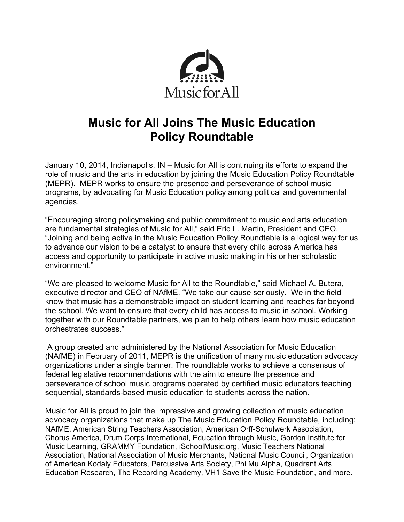

## **Music for All Joins The Music Education Policy Roundtable**

January 10, 2014, Indianapolis, IN – Music for All is continuing its efforts to expand the role of music and the arts in education by joining the Music Education Policy Roundtable (MEPR). MEPR works to ensure the presence and perseverance of school music programs, by advocating for Music Education policy among political and governmental agencies.

"Encouraging strong policymaking and public commitment to music and arts education are fundamental strategies of Music for All," said Eric L. Martin, President and CEO. "Joining and being active in the Music Education Policy Roundtable is a logical way for us to advance our vision to be a catalyst to ensure that every child across America has access and opportunity to participate in active music making in his or her scholastic environment."

"We are pleased to welcome Music for All to the Roundtable," said Michael A. Butera, executive director and CEO of NAfME. "We take our cause seriously. We in the field know that music has a demonstrable impact on student learning and reaches far beyond the school. We want to ensure that every child has access to music in school. Working together with our Roundtable partners, we plan to help others learn how music education orchestrates success."

A group created and administered by the National Association for Music Education (NAfME) in February of 2011, MEPR is the unification of many music education advocacy organizations under a single banner. The roundtable works to achieve a consensus of federal legislative recommendations with the aim to ensure the presence and perseverance of school music programs operated by certified music educators teaching sequential, standards-based music education to students across the nation.

Music for All is proud to join the impressive and growing collection of music education advocacy organizations that make up The Music Education Policy Roundtable, including: NAfME, American String Teachers Association, American Orff-Schulwerk Association, Chorus America, Drum Corps International, Education through Music, Gordon Institute for Music Learning, GRAMMY Foundation, iSchoolMusic.org, Music Teachers National Association, National Association of Music Merchants, National Music Council, Organization of American Kodaly Educators, Percussive Arts Society, Phi Mu Alpha, Quadrant Arts Education Research, The Recording Academy, VH1 Save the Music Foundation, and more.